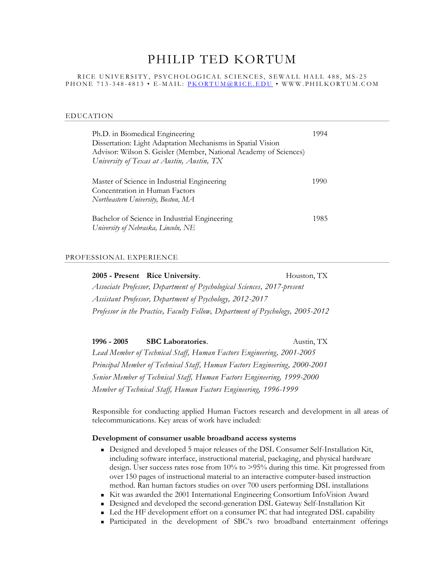# PHILIP TED KORTUM

#### RICE UNIVERSITY, PSYCHOLOGICAL SCIENCES, SEWALL HALL 488, MS-25 P H O N E 713-348-4813 • E-MAIL: P KORTUM @ RICE. E D U • W W W. P HIL K ORTUM. COM

#### EDUCATION

| Ph.D. in Biomedical Engineering<br>Dissertation: Light Adaptation Mechanisms in Spatial Vision<br>Advisor: Wilson S. Geisler (Member, National Academy of Sciences)<br>University of Texas at Austin, Austin, TX | 1994 |
|------------------------------------------------------------------------------------------------------------------------------------------------------------------------------------------------------------------|------|
| Master of Science in Industrial Engineering<br>Concentration in Human Factors<br>Northeastern University, Boston, MA                                                                                             | 1990 |
| Bachelor of Science in Industrial Engineering<br>University of Nebraska, Lincoln, NE                                                                                                                             | 1985 |

### PROFESSIONAL EXPERIENCE

**2005 - Present Rice University**. Houston, TX *Associate Professor, Department of Psychological Sciences, 2017-present Assistant Professor, Department of Psychology, 2012-2017 Professor in the Practice, Faculty Fellow, Department of Psychology, 2005-2012*

**1996 - 2005 SBC Laboratories**. Austin, TX *Lead Member of Technical Staff, Human Factors Engineering, 2001-2005 Principal Member of Technical Staff, Human Factors Engineering, 2000-2001 Senior Member of Technical Staff, Human Factors Engineering, 1999-2000 Member of Technical Staff, Human Factors Engineering, 1996-1999*

Responsible for conducting applied Human Factors research and development in all areas of telecommunications. Key areas of work have included:

#### **Development of consumer usable broadband access systems**

- Designed and developed 5 major releases of the DSL Consumer Self-Installation Kit, including software interface, instructional material, packaging, and physical hardware design. User success rates rose from 10% to >95% during this time. Kit progressed from over 150 pages of instructional material to an interactive computer-based instruction method. Ran human factors studies on over 700 users performing DSL installations
- Kit was awarded the 2001 International Engineering Consortium InfoVision Award
- Designed and developed the second-generation DSL Gateway Self-Installation Kit
- Led the HF development effort on a consumer PC that had integrated DSL capability
- Participated in the development of SBC's two broadband entertainment offerings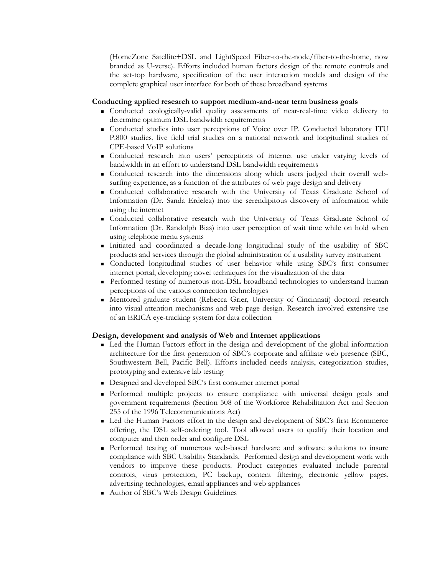(HomeZone Satellite+DSL and LightSpeed Fiber-to-the-node/fiber-to-the-home, now branded as U-verse). Efforts included human factors design of the remote controls and the set-top hardware, specification of the user interaction models and design of the complete graphical user interface for both of these broadband systems

### **Conducting applied research to support medium-and-near term business goals**

- Conducted ecologically-valid quality assessments of near-real-time video delivery to determine optimum DSL bandwidth requirements
- Conducted studies into user perceptions of Voice over IP. Conducted laboratory ITU P.800 studies, live field trial studies on a national network and longitudinal studies of CPE-based VoIP solutions
- Conducted research into users' perceptions of internet use under varying levels of bandwidth in an effort to understand DSL bandwidth requirements
- Conducted research into the dimensions along which users judged their overall websurfing experience, as a function of the attributes of web page design and delivery
- Conducted collaborative research with the University of Texas Graduate School of Information (Dr. Sanda Erdelez) into the serendipitous discovery of information while using the internet
- Conducted collaborative research with the University of Texas Graduate School of Information (Dr. Randolph Bias) into user perception of wait time while on hold when using telephone menu systems
- Initiated and coordinated a decade-long longitudinal study of the usability of SBC products and services through the global administration of a usability survey instrument
- Conducted longitudinal studies of user behavior while using SBC's first consumer internet portal, developing novel techniques for the visualization of the data
- Performed testing of numerous non-DSL broadband technologies to understand human perceptions of the various connection technologies
- Mentored graduate student (Rebecca Grier, University of Cincinnati) doctoral research into visual attention mechanisms and web page design. Research involved extensive use of an ERICA eye-tracking system for data collection

### **Design, development and analysis of Web and Internet applications**

- Led the Human Factors effort in the design and development of the global information architecture for the first generation of SBC's corporate and affiliate web presence (SBC, Southwestern Bell, Pacific Bell). Efforts included needs analysis, categorization studies, prototyping and extensive lab testing
- Designed and developed SBC's first consumer internet portal
- Performed multiple projects to ensure compliance with universal design goals and government requirements (Section 508 of the Workforce Rehabilitation Act and Section 255 of the 1996 Telecommunications Act)
- Led the Human Factors effort in the design and development of SBC's first Ecommerce offering, the DSL self-ordering tool. Tool allowed users to qualify their location and computer and then order and configure DSL
- Performed testing of numerous web-based hardware and software solutions to insure compliance with SBC Usability Standards. Performed design and development work with vendors to improve these products. Product categories evaluated include parental controls, virus protection, PC backup, content filtering, electronic yellow pages, advertising technologies, email appliances and web appliances
- Author of SBC's Web Design Guidelines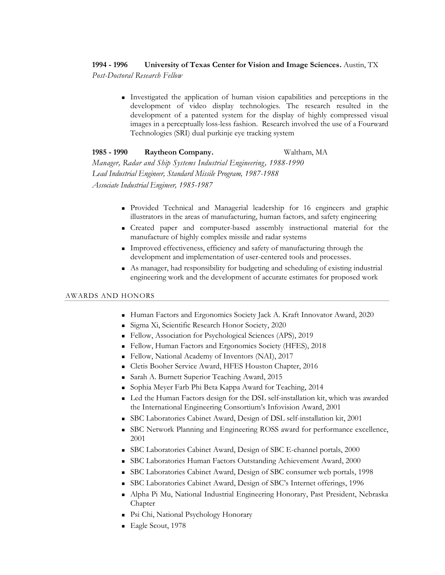# **1994 - 1996 University of Texas Center for Vision and Image Sciences.** Austin, TX

*Post-Doctoral Research Fellow*

■ Investigated the application of human vision capabilities and perceptions in the development of video display technologies. The research resulted in the development of a patented system for the display of highly compressed visual images in a perceptually loss-less fashion. Research involved the use of a Fourward Technologies (SRI) dual purkinje eye tracking system

# **1985 - 1990 Raytheon Company.** Waltham, MA

*Manager, Radar and Ship Systems Industrial Engineering, 1988-1990 Lead Industrial Engineer, Standard Missile Program, 1987-1988 Associate Industrial Engineer, 1985-1987*

- Provided Technical and Managerial leadership for 16 engineers and graphic illustrators in the areas of manufacturing, human factors, and safety engineering
- Created paper and computer-based assembly instructional material for the manufacture of highly complex missile and radar systems
- Improved effectiveness, efficiency and safety of manufacturing through the development and implementation of user-centered tools and processes.
- As manager, had responsibility for budgeting and scheduling of existing industrial engineering work and the development of accurate estimates for proposed work

## AWARDS AND HONORS

- Human Factors and Ergonomics Society Jack A. Kraft Innovator Award, 2020
- Sigma Xi, Scientific Research Honor Society, 2020
- Fellow, Association for Psychological Sciences (APS), 2019
- Fellow, Human Factors and Ergonomics Society (HFES), 2018
- Fellow, National Academy of Inventors (NAI), 2017
- Cletis Booher Service Award, HFES Houston Chapter, 2016
- Sarah A. Burnett Superior Teaching Award, 2015
- Sophia Meyer Farb Phi Beta Kappa Award for Teaching, 2014
- Led the Human Factors design for the DSL self-installation kit, which was awarded the International Engineering Consortium's Infovision Award, 2001
- SBC Laboratories Cabinet Award, Design of DSL self-installation kit, 2001
- SBC Network Planning and Engineering ROSS award for performance excellence, 2001
- SBC Laboratories Cabinet Award, Design of SBC E-channel portals, 2000
- SBC Laboratories Human Factors Outstanding Achievement Award, 2000
- SBC Laboratories Cabinet Award, Design of SBC consumer web portals, 1998
- SBC Laboratories Cabinet Award, Design of SBC's Internet offerings, 1996
- Alpha Pi Mu, National Industrial Engineering Honorary, Past President, Nebraska Chapter
- Psi Chi, National Psychology Honorary
- Eagle Scout, 1978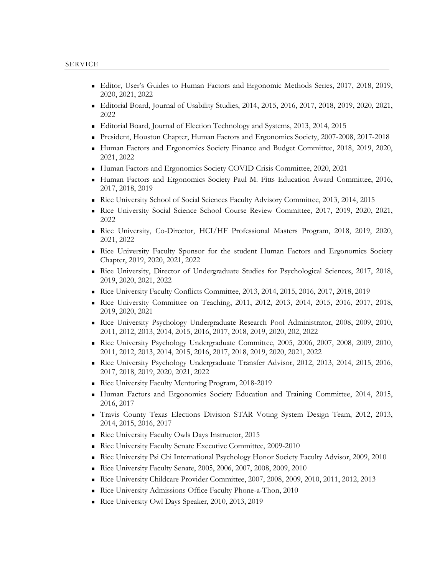- Editor, User's Guides to Human Factors and Ergonomic Methods Series, 2017, 2018, 2019, 2020, 2021, 2022
- Editorial Board, Journal of Usability Studies, 2014, 2015, 2016, 2017, 2018, 2019, 2020, 2021, 2022
- Editorial Board, Journal of Election Technology and Systems, 2013, 2014, 2015
- President, Houston Chapter, Human Factors and Ergonomics Society, 2007-2008, 2017-2018
- Human Factors and Ergonomics Society Finance and Budget Committee, 2018, 2019, 2020, 2021, 2022
- Human Factors and Ergonomics Society COVID Crisis Committee, 2020, 2021
- Human Factors and Ergonomics Society Paul M. Fitts Education Award Committee, 2016, 2017, 2018, 2019
- Rice University School of Social Sciences Faculty Advisory Committee, 2013, 2014, 2015
- Rice University Social Science School Course Review Committee, 2017, 2019, 2020, 2021, 2022
- Rice University, Co-Director, HCI/HF Professional Masters Program, 2018, 2019, 2020, 2021, 2022
- Rice University Faculty Sponsor for the student Human Factors and Ergonomics Society Chapter, 2019, 2020, 2021, 2022
- Rice University, Director of Undergraduate Studies for Psychological Sciences, 2017, 2018, 2019, 2020, 2021, 2022
- Rice University Faculty Conflicts Committee, 2013, 2014, 2015, 2016, 2017, 2018, 2019
- Rice University Committee on Teaching, 2011, 2012, 2013, 2014, 2015, 2016, 2017, 2018, 2019, 2020, 2021
- Rice University Psychology Undergraduate Research Pool Administrator, 2008, 2009, 2010, 2011, 2012, 2013, 2014, 2015, 2016, 2017, 2018, 2019, 2020, 202, 2022
- Rice University Psychology Undergraduate Committee, 2005, 2006, 2007, 2008, 2009, 2010, 2011, 2012, 2013, 2014, 2015, 2016, 2017, 2018, 2019, 2020, 2021, 2022
- Rice University Psychology Undergraduate Transfer Advisor, 2012, 2013, 2014, 2015, 2016, 2017, 2018, 2019, 2020, 2021, 2022
- Rice University Faculty Mentoring Program, 2018-2019
- Human Factors and Ergonomics Society Education and Training Committee, 2014, 2015, 2016, 2017
- Travis County Texas Elections Division STAR Voting System Design Team, 2012, 2013, 2014, 2015, 2016, 2017
- Rice University Faculty Owls Days Instructor, 2015
- Rice University Faculty Senate Executive Committee, 2009-2010
- Rice University Psi Chi International Psychology Honor Society Faculty Advisor, 2009, 2010
- Rice University Faculty Senate, 2005, 2006, 2007, 2008, 2009, 2010
- Rice University Childcare Provider Committee, 2007, 2008, 2009, 2010, 2011, 2012, 2013
- Rice University Admissions Office Faculty Phone-a-Thon, 2010
- Rice University Owl Days Speaker, 2010, 2013, 2019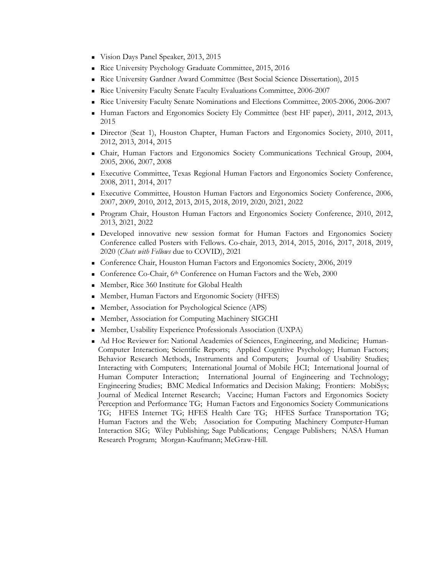- Vision Days Panel Speaker, 2013, 2015
- Rice University Psychology Graduate Committee, 2015, 2016
- Rice University Gardner Award Committee (Best Social Science Dissertation), 2015
- Rice University Faculty Senate Faculty Evaluations Committee, 2006-2007
- Rice University Faculty Senate Nominations and Elections Committee, 2005-2006, 2006-2007
- Human Factors and Ergonomics Society Ely Committee (best HF paper), 2011, 2012, 2013, 2015
- Director (Seat 1), Houston Chapter, Human Factors and Ergonomics Society, 2010, 2011, 2012, 2013, 2014, 2015
- Chair, Human Factors and Ergonomics Society Communications Technical Group, 2004, 2005, 2006, 2007, 2008
- Executive Committee, Texas Regional Human Factors and Ergonomics Society Conference, 2008, 2011, 2014, 2017
- Executive Committee, Houston Human Factors and Ergonomics Society Conference, 2006, 2007, 2009, 2010, 2012, 2013, 2015, 2018, 2019, 2020, 2021, 2022
- Program Chair, Houston Human Factors and Ergonomics Society Conference, 2010, 2012, 2013, 2021, 2022
- Developed innovative new session format for Human Factors and Ergonomics Society Conference called Posters with Fellows. Co-chair, 2013, 2014, 2015, 2016, 2017, 2018, 2019, 2020 (*Chats with Fellows* due to COVID), 2021
- Conference Chair, Houston Human Factors and Ergonomics Society, 2006, 2019
- Conference Co-Chair, 6<sup>th</sup> Conference on Human Factors and the Web, 2000
- Member, Rice 360 Institute for Global Health
- Member, Human Factors and Ergonomic Society (HFES)
- Member, Association for Psychological Science (APS)
- Member, Association for Computing Machinery SIGCHI
- Member, Usability Experience Professionals Association (UXPA)
- Ad Hoc Reviewer for: National Academies of Sciences, Engineering, and Medicine; Human-Computer Interaction; Scientific Reports; Applied Cognitive Psychology; Human Factors; Behavior Research Methods, Instruments and Computers; Journal of Usability Studies; Interacting with Computers; International Journal of Mobile HCI; International Journal of Human Computer Interaction; International Journal of Engineering and Technology; Engineering Studies; BMC Medical Informatics and Decision Making; Frontiers: MobiSys; Journal of Medical Internet Research; Vaccine; Human Factors and Ergonomics Society Perception and Performance TG; Human Factors and Ergonomics Society Communications TG; HFES Internet TG; HFES Health Care TG; HFES Surface Transportation TG; Human Factors and the Web; Association for Computing Machinery Computer-Human Interaction SIG; Wiley Publishing; Sage Publications; Cengage Publishers; NASA Human Research Program; Morgan-Kaufmann; McGraw-Hill.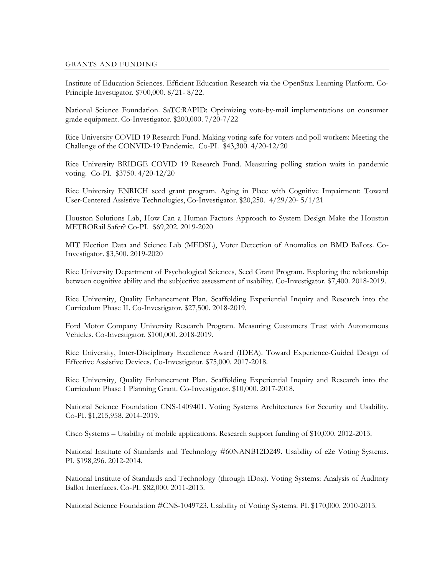### GRANTS AND FUNDING

Institute of Education Sciences. Efficient Education Research via the OpenStax Learning Platform. Co-Principle Investigator. \$700,000. 8/21- 8/22.

National Science Foundation. SaTC:RAPID: Optimizing vote-by-mail implementations on consumer grade equipment. Co-Investigator. \$200,000. 7/20-7/22

Rice University COVID 19 Research Fund. Making voting safe for voters and poll workers: Meeting the Challenge of the CONVID-19 Pandemic. Co-PI. \$43,300. 4/20-12/20

Rice University BRIDGE COVID 19 Research Fund. Measuring polling station waits in pandemic voting. Co-PI. \$3750. 4/20-12/20

Rice University ENRICH seed grant program. Aging in Place with Cognitive Impairment: Toward User-Centered Assistive Technologies, Co-Investigator. \$20,250. 4/29/20- 5/1/21

Houston Solutions Lab, How Can a Human Factors Approach to System Design Make the Houston METRORail Safer? Co-PI. \$69,202. 2019-2020

MIT Election Data and Science Lab (MEDSL), Voter Detection of Anomalies on BMD Ballots. Co-Investigator. \$3,500. 2019-2020

Rice University Department of Psychological Sciences, Seed Grant Program. Exploring the relationship between cognitive ability and the subjective assessment of usability. Co-Investigator. \$7,400. 2018-2019.

Rice University, Quality Enhancement Plan. Scaffolding Experiential Inquiry and Research into the Curriculum Phase II. Co-Investigator. \$27,500. 2018-2019.

Ford Motor Company University Research Program. Measuring Customers Trust with Autonomous Vehicles. Co-Investigator. \$100,000. 2018-2019.

Rice University, Inter-Disciplinary Excellence Award (IDEA). Toward Experience-Guided Design of Effective Assistive Devices. Co-Investigator. \$75,000. 2017-2018.

Rice University, Quality Enhancement Plan. Scaffolding Experiential Inquiry and Research into the Curriculum Phase 1 Planning Grant. Co-Investigator. \$10,000. 2017-2018.

National Science Foundation CNS-1409401. Voting Systems Architectures for Security and Usability. Co-PI. \$1,215,958. 2014-2019.

Cisco Systems – Usability of mobile applications. Research support funding of \$10,000. 2012-2013.

National Institute of Standards and Technology #60NANB12D249. Usability of e2e Voting Systems. PI. \$198,296. 2012-2014.

National Institute of Standards and Technology (through IDox). Voting Systems: Analysis of Auditory Ballot Interfaces. Co-PI. \$82,000. 2011-2013.

National Science Foundation #CNS-1049723. Usability of Voting Systems. PI. \$170,000. 2010-2013.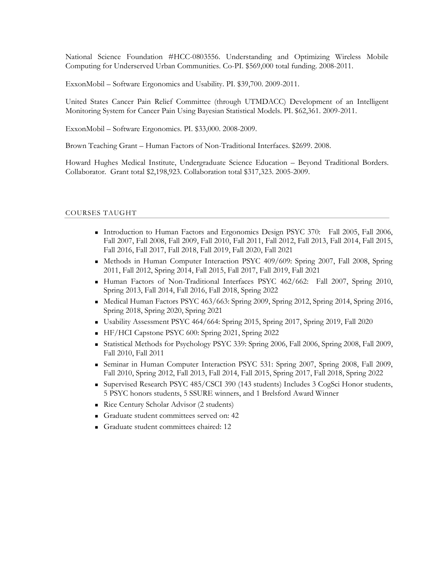National Science Foundation #HCC-0803556. Understanding and Optimizing Wireless Mobile Computing for Underserved Urban Communities. Co-PI. \$569,000 total funding. 2008-2011.

ExxonMobil – Software Ergonomics and Usability. PI. \$39,700. 2009-2011.

United States Cancer Pain Relief Committee (through UTMDACC) Development of an Intelligent Monitoring System for Cancer Pain Using Bayesian Statistical Models. PI. \$62,361. 2009-2011.

ExxonMobil – Software Ergonomics. PI. \$33,000. 2008-2009.

Brown Teaching Grant – Human Factors of Non-Traditional Interfaces. \$2699. 2008.

Howard Hughes Medical Institute, Undergraduate Science Education – Beyond Traditional Borders. Collaborator. Grant total \$2,198,923. Collaboration total \$317,323. 2005-2009.

### COURSES TAUGHT

- Introduction to Human Factors and Ergonomics Design PSYC 370: Fall 2005, Fall 2006, Fall 2007, Fall 2008, Fall 2009, Fall 2010, Fall 2011, Fall 2012, Fall 2013, Fall 2014, Fall 2015, Fall 2016, Fall 2017, Fall 2018, Fall 2019, Fall 2020, Fall 2021
- Methods in Human Computer Interaction PSYC 409/609: Spring 2007, Fall 2008, Spring 2011, Fall 2012, Spring 2014, Fall 2015, Fall 2017, Fall 2019, Fall 2021
- Human Factors of Non-Traditional Interfaces PSYC 462/662: Fall 2007, Spring 2010, Spring 2013, Fall 2014, Fall 2016, Fall 2018, Spring 2022
- Medical Human Factors PSYC 463/663: Spring 2009, Spring 2012, Spring 2014, Spring 2016, Spring 2018, Spring 2020, Spring 2021
- Usability Assessment PSYC 464/664: Spring 2015, Spring 2017, Spring 2019, Fall 2020
- HF/HCI Capstone PSYC 600: Spring 2021, Spring 2022
- Statistical Methods for Psychology PSYC 339: Spring 2006, Fall 2006, Spring 2008, Fall 2009, Fall 2010, Fall 2011
- Seminar in Human Computer Interaction PSYC 531: Spring 2007, Spring 2008, Fall 2009, Fall 2010, Spring 2012, Fall 2013, Fall 2014, Fall 2015, Spring 2017, Fall 2018, Spring 2022
- Supervised Research PSYC 485/CSCI 390 (143 students) Includes 3 CogSci Honor students, 5 PSYC honors students, 5 SSURE winners, and 1 Brelsford Award Winner
- Rice Century Scholar Advisor (2 students)
- Graduate student committees served on: 42
- Graduate student committees chaired: 12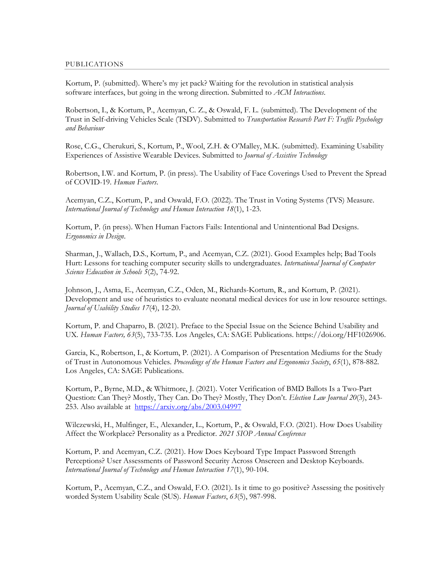Kortum, P. (submitted). Where's my jet pack? Waiting for the revolution in statistical analysis software interfaces, but going in the wrong direction. Submitted to *ACM Interactions*.

Robertson, I., & Kortum, P., Acemyan, C. Z., & Oswald, F. L. (submitted). The Development of the Trust in Self-driving Vehicles Scale (TSDV). Submitted to *Transportation Research Part F: Traffic Psychology and Behaviour*

Rose, C.G., Cherukuri, S., Kortum, P., Wool, Z.H. & O'Malley, M.K. (submitted). Examining Usability Experiences of Assistive Wearable Devices. Submitted to *Journal of Assistive Technology*

Robertson, I.W. and Kortum, P. (in press). The Usability of Face Coverings Used to Prevent the Spread of COVID-19. *Human Factors*.

Acemyan, C.Z., Kortum, P., and Oswald, F.O. (2022). The Trust in Voting Systems (TVS) Measure. *International Journal of Technology and Human Interaction 18*(1), 1-23.

Kortum, P. (in press). When Human Factors Fails: Intentional and Unintentional Bad Designs. *Ergonomics in Design*.

Sharman, J., Wallach, D.S., Kortum, P., and Acemyan, C.Z. (2021). Good Examples help; Bad Tools Hurt: Lessons for teaching computer security skills to undergraduates. *International Journal of Computer Science Education in Schools 5*(2), 74-92.

Johnson, J., Asma, E., Acemyan, C.Z., Oden, M., Richards-Kortum, R., and Kortum, P. (2021). Development and use of heuristics to evaluate neonatal medical devices for use in low resource settings. *Journal of Usability Studies 17*(4), 12-20.

Kortum, P. and Chaparro, B. (2021). Preface to the Special Issue on the Science Behind Usability and UX. *Human Factors, 63*(5), 733-735. Los Angeles, CA: SAGE Publications. https://doi.org/HF1026906.

Garcia, K., Robertson, I., & Kortum, P. (2021). A Comparison of Presentation Mediums for the Study of Trust in Autonomous Vehicles. *Proceedings of the Human Factors and Ergonomics Society*, *65*(1), 878-882. Los Angeles, CA: SAGE Publications.

Kortum, P., Byrne, M.D., & Whitmore, J. (2021). Voter Verification of BMD Ballots Is a Two-Part Question: Can They? Mostly, They Can. Do They? Mostly, They Don't. *Election Law Journal 20*(3), 243- 253. Also available at <https://arxiv.org/abs/2003.04997>

Wilczewski, H., Mulfinger, E., Alexander, L., Kortum, P., & Oswald, F.O. (2021). How Does Usability Affect the Workplace? Personality as a Predictor. *2021 SIOP Annual Conference*

Kortum, P. and Acemyan, C.Z. (2021). How Does Keyboard Type Impact Password Strength Perceptions? User Assessments of Password Security Across Onscreen and Desktop Keyboards. *International Journal of Technology and Human Interaction 17*(1), 90-104.

Kortum, P., Acemyan, C.Z., and Oswald, F.O. (2021). Is it time to go positive? Assessing the positively worded System Usability Scale (SUS). *Human Factors*, *63*(5), 987-998.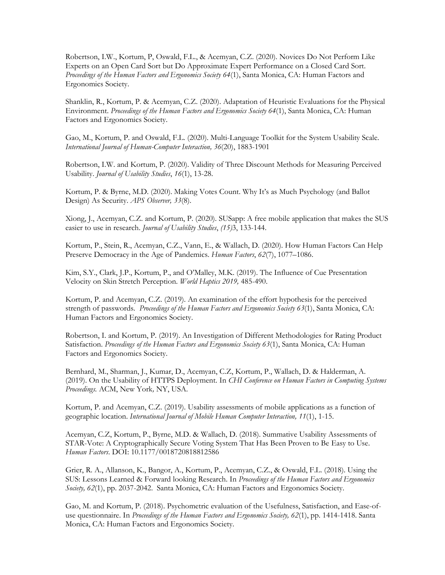Robertson, I.W., Kortum, P, Oswald, F.L., & Acemyan, C.Z. (2020). Novices Do Not Perform Like Experts on an Open Card Sort but Do Approximate Expert Performance on a Closed Card Sort. *Proceedings of the Human Factors and Ergonomics Society 64*(1), Santa Monica, CA: Human Factors and Ergonomics Society.

Shanklin, R., Kortum, P. & Acemyan, C.Z. (2020). Adaptation of Heuristic Evaluations for the Physical Environment. *Proceedings of the Human Factors and Ergonomics Society 64*(1), Santa Monica, CA: Human Factors and Ergonomics Society.

Gao, M., Kortum, P. and Oswald, F.L. (2020). Multi-Language Toolkit for the System Usability Scale. *International Journal of Human-Computer Interaction, 36*(20), 1883-1901

Robertson, I.W. and Kortum, P. (2020). Validity of Three Discount Methods for Measuring Perceived Usability. *Journal of Usability Studies*, *16*(1), 13-28.

Kortum, P. & Byrne, M.D. (2020). Making Votes Count. Why It's as Much Psychology (and Ballot Design) As Security. *APS Observer, 33*(8).

Xiong, J., Acemyan, C.Z. and Kortum, P. (2020). SUSapp: A free mobile application that makes the SUS easier to use in research. *Journal of Usability Studies*, *(15)*3, 133-144.

Kortum, P., Stein, R., Acemyan, C.Z., Vann, E., & Wallach, D. (2020). How Human Factors Can Help Preserve Democracy in the Age of Pandemics. *Human Factors*, *62*(7), 1077–1086.

Kim, S.Y., Clark, J.P., Kortum, P., and O'Malley, M.K. (2019). The Influence of Cue Presentation Velocity on Skin Stretch Perception. *World Haptics 2019,* 485-490.

Kortum, P. and Acemyan, C.Z. (2019). An examination of the effort hypothesis for the perceived strength of passwords. *Proceedings of the Human Factors and Ergonomics Society 63*(1), Santa Monica, CA: Human Factors and Ergonomics Society.

Robertson, I. and Kortum, P. (2019). An Investigation of Different Methodologies for Rating Product Satisfaction. *Proceedings of the Human Factors and Ergonomics Society 63*(1), Santa Monica, CA: Human Factors and Ergonomics Society.

Bernhard, M., Sharman, J., Kumar, D., Acemyan, C.Z, Kortum, P., Wallach, D. & Halderman, A. (2019). On the Usability of HTTPS Deployment. In *CHI Conference on Human Factors in Computing Systems Proceedings.* ACM, New York*,* NY, USA.

Kortum, P. and Acemyan, C.Z. (2019). Usability assessments of mobile applications as a function of geographic location. *International Journal of Mobile Human Computer Interaction, 11*(1), 1-15.

Acemyan, C.Z, Kortum, P., Byrne, M.D. & Wallach, D. (2018). Summative Usability Assessments of STAR-Vote: A Cryptographically Secure Voting System That Has Been Proven to Be Easy to Use. *Human Factors*. DOI: 10.1177/0018720818812586

Grier, R. A., Allanson, K., Bangor, A., Kortum, P., Acemyan, C.Z., & Oswald, F.L. (2018). Using the SUS: Lessons Learned & Forward looking Research. In *Proceedings of the Human Factors and Ergonomics Society, 62*(1), pp. 2037-2042. Santa Monica, CA: Human Factors and Ergonomics Society.

Gao, M. and Kortum, P. (2018). Psychometric evaluation of the Usefulness, Satisfaction, and Ease-ofuse questionnaire. In *Proceedings of the Human Factors and Ergonomics Society, 62*(1), pp. 1414-1418. Santa Monica, CA: Human Factors and Ergonomics Society.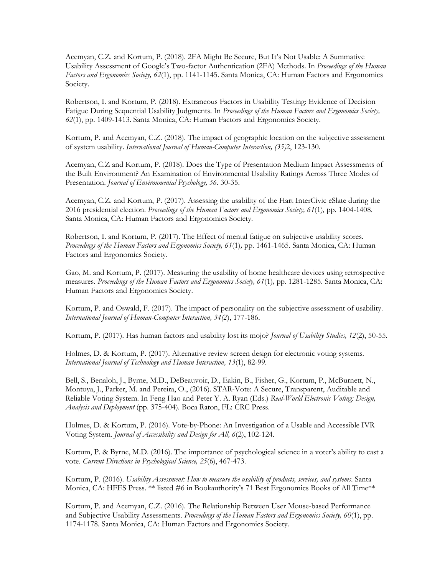Acemyan, C.Z. and Kortum, P. (2018). 2FA Might Be Secure, But It's Not Usable: A Summative Usability Assessment of Google's Two-factor Authentication (2FA) Methods. In *Proceedings of the Human Factors and Ergonomics Society, 62*(1), pp. 1141-1145. Santa Monica, CA: Human Factors and Ergonomics Society.

Robertson, I. and Kortum, P. (2018). Extraneous Factors in Usability Testing: Evidence of Decision Fatigue During Sequential Usability Judgments. In *Proceedings of the Human Factors and Ergonomics Society, 62*(1), pp. 1409-1413. Santa Monica, CA: Human Factors and Ergonomics Society.

Kortum, P. and Acemyan, C.Z. (2018). The impact of geographic location on the subjective assessment of system usability. *International Journal of Human-Computer Interaction, (35)*2, 123-130.

Acemyan, C.Z and Kortum, P. (2018). Does the Type of Presentation Medium Impact Assessments of the Built Environment? An Examination of Environmental Usability Ratings Across Three Modes of Presentation. *Journal of Environmental Psychology, 56.* 30-35.

Acemyan, C.Z. and Kortum, P. (2017). Assessing the usability of the Hart InterCivic eSlate during the 2016 presidential election. *Proceedings of the Human Factors and Ergonomics Society, 61*(1)*,* pp. 1404-1408. Santa Monica, CA: Human Factors and Ergonomics Society.

Robertson, I. and Kortum, P. (2017). The Effect of mental fatigue on subjective usability scores. *Proceedings of the Human Factors and Ergonomics Society, 61*(1)*,* pp. 1461-1465. Santa Monica, CA: Human Factors and Ergonomics Society.

Gao, M. and Kortum, P. (2017). Measuring the usability of home healthcare devices using retrospective measures. *Proceedings of the Human Factors and Ergonomics Society, 61*(1)*,* pp. 1281-1285. Santa Monica, CA: Human Factors and Ergonomics Society.

Kortum, P. and Oswald, F. (2017). The impact of personality on the subjective assessment of usability. *International Journal of Human-Computer Interaction, 34(2*), 177-186.

Kortum, P. (2017). Has human factors and usability lost its mojo? *Journal of Usability Studies, 12*(2), 50-55.

Holmes, D. & Kortum, P. (2017). Alternative review screen design for electronic voting systems. *International Journal of Technology and Human Interaction, 13*(1), 82-99*.*

Bell, S., Benaloh, J., Byrne, M.D., DeBeauvoir, D., Eakin, B., Fisher, G., Kortum, P., McBurnett, N., Montoya, J., Parker, M. and Pereira, O., (2016). STAR-Vote: A Secure, Transparent, Auditable and Reliable Voting System. In Feng Hao and Peter Y. A. Ryan (Eds.) *Real-World Electronic Voting: Design, Analysis and Deployment* (pp. 375-404)*.* Boca Raton, FL: CRC Press.

Holmes, D. & Kortum, P. (2016). Vote-by-Phone: An Investigation of a Usable and Accessible IVR Voting System. *Journal of Accessibility and Design for All, 6*(2), 102-124.

Kortum, P. & Byrne, M.D. (2016). The importance of psychological science in a voter's ability to cast a vote. *Current Directions in Psychological Science, 25*(6), 467-473.

Kortum, P. (2016). *Usability Assessment: How to measure the usability of products, services, and systems*. Santa Monica, CA: HFES Press. \*\* listed #6 in Bookauthority's 71 Best Ergonomics Books of All Time\*\*

Kortum, P. and Acemyan, C.Z. (2016). The Relationship Between User Mouse-based Performance and Subjective Usability Assessments. *Proceedings of the Human Factors and Ergonomics Society, 60*(1), pp. 1174-1178*.* Santa Monica, CA: Human Factors and Ergonomics Society.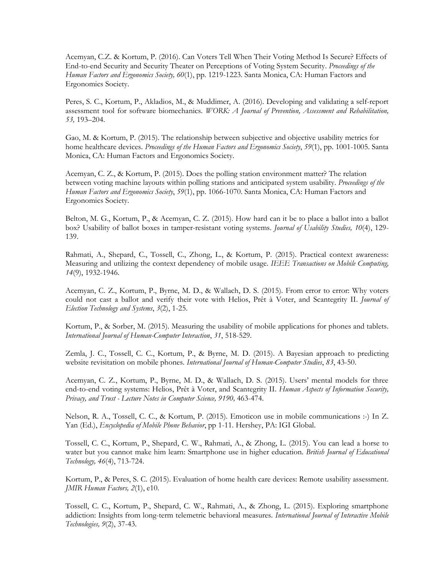Acemyan, C.Z. & Kortum, P. (2016). Can Voters Tell When Their Voting Method Is Secure? Effects of End-to-end Security and Security Theater on Perceptions of Voting System Security. *Proceedings of the Human Factors and Ergonomics Society, 60*(1), pp. 1219-1223*.* Santa Monica, CA: Human Factors and Ergonomics Society.

Peres, S. C., Kortum, P., Akladios, M., & Muddimer, A. (2016). Developing and validating a self-report assessment tool for software biomechanics. *WORK: A Journal of Prevention, Assessment and Rehabilitation, 53,* 193–204.

Gao, M. & Kortum, P. (2015). The relationship between subjective and objective usability metrics for home healthcare devices. *Proceedings of the Human Factors and Ergonomics Society*, *59*(1), pp. 1001-1005. Santa Monica, CA: Human Factors and Ergonomics Society.

Acemyan, C. Z., & Kortum, P. (2015). Does the polling station environment matter? The relation between voting machine layouts within polling stations and anticipated system usability. *Proceedings of the Human Factors and Ergonomics Society*, *59*(1), pp. 1066-1070. Santa Monica, CA: Human Factors and Ergonomics Society.

Belton, M. G., Kortum, P., & Acemyan, C. Z. (2015). How hard can it be to place a ballot into a ballot box? Usability of ballot boxes in tamper-resistant voting systems. *Journal of Usability Studies, 10*(4), 129- 139.

Rahmati, A., Shepard, C., Tossell, C., Zhong, L., & Kortum, P. (2015). Practical context awareness: Measuring and utilizing the context dependency of mobile usage. *IEEE Transactions on Mobile Computing, 14*(9), 1932-1946.

Acemyan, C. Z., Kortum, P., Byrne, M. D., & Wallach, D. S. (2015). From error to error: Why voters could not cast a ballot and verify their vote with Helios, Prêt à Voter, and Scantegrity II. *Journal of Election Technology and Systems*, *3*(2), 1-25.

Kortum, P., & Sorber, M. (2015). Measuring the usability of mobile applications for phones and tablets. *International Journal of Human-Computer Interaction*, *31*, 518-529.

Zemla, J. C., Tossell, C. C., Kortum, P., & Byrne, M. D. (2015). A Bayesian approach to predicting website revisitation on mobile phones. *International Journal of Human-Computer Studies*, *83*, 43-50.

Acemyan, C. Z., Kortum, P., Byrne, M. D., & Wallach, D. S. (2015). Users' mental models for three end-to-end voting systems: Helios, Prêt à Voter, and Scantegrity II. *Human Aspects of Information Security, Privacy, and Trust - Lecture Notes in Computer Science, 9190,* 463-474.

Nelson, R. A., Tossell, C. C., & Kortum, P. (2015). Emoticon use in mobile communications :-) In Z. Yan (Ed.), *Encyclopedia of Mobile Phone Behavior*, pp 1-11. Hershey, PA: IGI Global.

Tossell, C. C., Kortum, P., Shepard, C. W., Rahmati, A., & Zhong, L. (2015). You can lead a horse to water but you cannot make him learn: Smartphone use in higher education. *British Journal of Educational Technology, 46*(4), 713-724.

Kortum, P., & Peres, S. C. (2015). Evaluation of home health care devices: Remote usability assessment. *JMIR Human Factors, 2*(1), e10.

Tossell, C. C., Kortum, P., Shepard, C. W., Rahmati, A., & Zhong, L. (2015). Exploring smartphone addiction: Insights from long-term telemetric behavioral measures. *International Journal of Interactive Mobile Technologies, 9*(2), 37-43.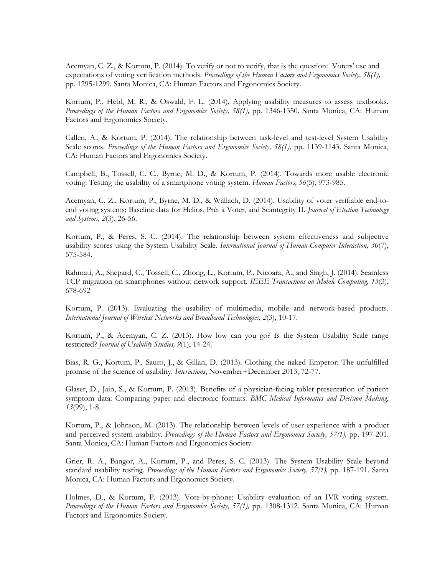Acemyan, C. Z., & Kortum, P. (2014). To verify or not to verify, that is the question: Voters' use and expectations of voting verification methods. *Proceedings of the Human Factors and Ergonomics Society, 58(1),* pp. 1295-1299. Santa Monica, CA: Human Factors and Ergonomics Society.

Kortum, P., Hebl, M. R., & Oswald, F. L. (2014). Applying usability measures to assess textbooks. *Proceedings of the Human Factors and Ergonomics Society, 58(1),* pp. 1346-1350. Santa Monica, CA: Human Factors and Ergonomics Society.

Callen, A., & Kortum, P. (2014). The relationship between task-level and test-level System Usability Scale scores. *Proceedings of the Human Factors and Ergonomics Society, 58(1),* pp. 1139-1143. Santa Monica, CA: Human Factors and Ergonomics Society.

Campbell, B., Tossell, C. C., Byrne, M. D., & Kortum, P. (2014). Towards more usable electronic voting: Testing the usability of a smartphone voting system. *Human Factors, 56*(5), 973-985.

Acemyan, C. Z., Kortum, P., Byrne, M. D., & Wallach, D. (2014). Usability of voter verifiable end-toend voting systems: Baseline data for Helios, Prêt à Voter, and Scantegrity II. *Journal of Election Technology and Systems, 2*(3), 26-56.

Kortum, P., & Peres, S. C. (2014). The relationship between system effectiveness and subjective usability scores using the System Usability Scale. *International Journal of Human-Computer Interaction, 30*(7), 575-584.

Rahmati, A., Shepard, C., Tossell, C., Zhong, L., Kortum, P., Nicoara, A., and Singh, J. (2014). Seamless TCP migration on smartphones without network support. *IEEE Transactions on Mobile Computing, 13*(3), 678-692

Kortum, P. (2013). Evaluating the usability of multimedia, mobile and network-based products. *International Journal of Wireless Networks and Broadband Technologies*, *2*(3), 10-17.

Kortum, P., & Acemyan, C. Z. (2013). How low can you go? Is the System Usability Scale range restricted? *Journal of Usability Studies, 9*(1), 14-24.

Bias, R. G., Kortum, P., Sauro, J., & Gillan, D. (2013). Clothing the naked Emperor: The unfulfilled promise of the science of usability. *Interactions*, November+December 2013, 72-77.

Glaser, D., Jain, S., & Kortum, P. (2013). Benefits of a physician-facing tablet presentation of patient symptom data: Comparing paper and electronic formats. *BMC Medical Informatics and Decision Making*, *13*(99), 1-8.

Kortum, P., & Johnson, M. (2013). The relationship between levels of user experience with a product and perceived system usability. *Proceedings of the Human Factors and Ergonomics Society*, 57(1), pp. 197-201. Santa Monica, CA: Human Factors and Ergonomics Society.

Grier, R. A., Bangor, A., Kortum, P., and Peres, S. C. (2013). The System Usability Scale beyond standard usability testing. *Proceedings of the Human Factors and Ergonomics Society, 57(1),* pp. 187-191. Santa Monica, CA: Human Factors and Ergonomics Society.

Holmes, D., & Kortum, P. (2013). Vote-by-phone: Usability evaluation of an IVR voting system. *Proceedings of the Human Factors and Ergonomics Society, 57(1),* pp. 1308-1312. Santa Monica, CA: Human Factors and Ergonomics Society.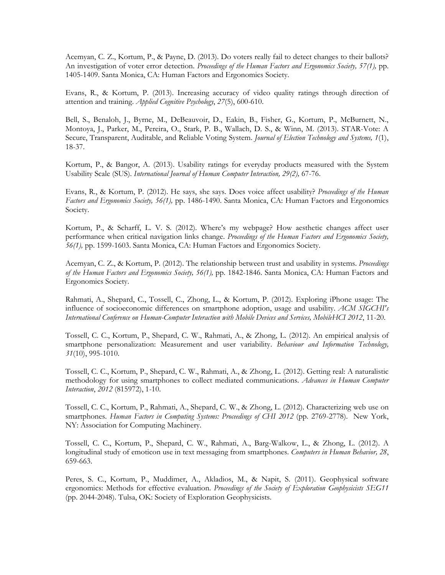Acemyan, C. Z., Kortum, P., & Payne, D. (2013). Do voters really fail to detect changes to their ballots? An investigation of voter error detection. *Proceedings of the Human Factors and Ergonomics Society, 57(1),* pp. 1405-1409. Santa Monica, CA: Human Factors and Ergonomics Society.

Evans, R., & Kortum, P. (2013). Increasing accuracy of video quality ratings through direction of attention and training. *Applied Cognitive Psychology*, *27*(5), 600-610.

Bell, S., Benaloh, J., Byrne, M., DeBeauvoir, D., Eakin, B., Fisher, G., Kortum, P., McBurnett, N., Montoya, J., Parker, M., Pereira, O., Stark, P. B., Wallach, D. S., & Winn, M. (2013). STAR-Vote: A Secure, Transparent, Auditable, and Reliable Voting System. *Journal of Election Technology and Systems, 1*(1), 18-37.

Kortum, P., & Bangor, A. (2013). Usability ratings for everyday products measured with the System Usability Scale (SUS). *International Journal of Human Computer Interaction, 29(2),* 67-76.

Evans, R., & Kortum, P. (2012). He says, she says. Does voice affect usability? *Proceedings of the Human Factors and Ergonomics Society, 56(1),* pp. 1486-1490. Santa Monica, CA: Human Factors and Ergonomics Society.

Kortum, P., & Scharff, L. V. S. (2012). Where's my webpage? How aesthetic changes affect user performance when critical navigation links change. *Proceedings of the Human Factors and Ergonomics Society, 56(1),* pp. 1599-1603. Santa Monica, CA: Human Factors and Ergonomics Society.

Acemyan, C. Z., & Kortum, P. (2012). The relationship between trust and usability in systems. *Proceedings of the Human Factors and Ergonomics Society, 56(1),* pp. 1842-1846. Santa Monica, CA: Human Factors and Ergonomics Society.

Rahmati, A., Shepard, C., Tossell, C., Zhong, L., & Kortum, P. (2012). Exploring iPhone usage: The influence of socioeconomic differences on smartphone adoption, usage and usability. *ACM SIGCHI's International Conference on Human-Computer Interaction with Mobile Devices and Services, MobileHCI 2012*, 11-20.

Tossell, C. C., Kortum, P., Shepard, C. W., Rahmati, A., & Zhong, L. (2012). An empirical analysis of smartphone personalization: Measurement and user variability. *Behaviour and Information Technology, 31*(10), 995-1010.

Tossell, C. C., Kortum, P., Shepard, C. W., Rahmati, A., & Zhong, L. (2012). Getting real: A naturalistic methodology for using smartphones to collect mediated communications. *Advances in Human Computer Interaction*, *2012* (815972), 1-10.

Tossell, C. C., Kortum, P., Rahmati, A., Shepard, C. W., & Zhong, L. (2012). Characterizing web use on smartphones. *Human Factors in Computing Systems: Proceedings of CHI 2012* (pp. 2769-2778). New York, NY: Association for Computing Machinery.

Tossell, C. C., Kortum, P., Shepard, C. W., Rahmati, A., Barg-Walkow, L., & Zhong, L. (2012). A longitudinal study of emoticon use in text messaging from smartphones. *Computers in Human Behavior, 28*, 659-663.

Peres, S. C., Kortum, P., Muddimer, A., Akladios, M., & Napit, S. (2011). Geophysical software ergonomics: Methods for effective evaluation. *Proceedings of the Society of Exploration Geophysicists SEG11*  (pp. 2044-2048). Tulsa, OK: Society of Exploration Geophysicists.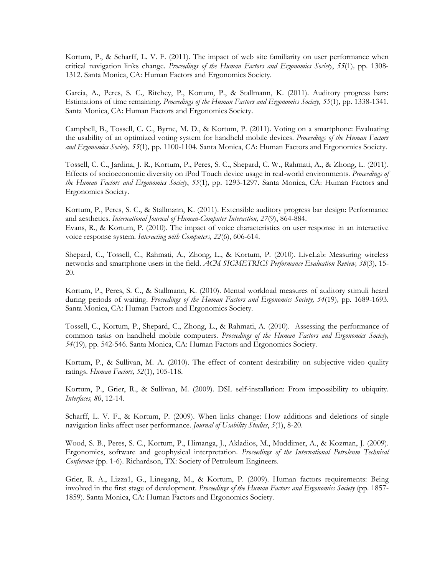Kortum, P., & Scharff, L. V. F. (2011). The impact of web site familiarity on user performance when critical navigation links change. *Proceedings of the Human Factors and Ergonomics Society*, *55*(1)*,* pp. 1308- 1312. Santa Monica, CA: Human Factors and Ergonomics Society.

Garcia, A., Peres, S. C., Ritchey, P., Kortum, P., & Stallmann, K. (2011). Auditory progress bars: Estimations of time remaining. *Proceedings of the Human Factors and Ergonomics Society, 55*(1)*,* pp. 1338-1341. Santa Monica, CA: Human Factors and Ergonomics Society.

Campbell, B., Tossell, C. C., Byrne, M. D., & Kortum, P. (2011). Voting on a smartphone: Evaluating the usability of an optimized voting system for handheld mobile devices. *Proceedings of the Human Factors and Ergonomics Society, 55*(1)*,* pp. 1100-1104. Santa Monica, CA: Human Factors and Ergonomics Society.

Tossell, C. C., Jardina, J. R., Kortum, P., Peres, S. C., Shepard, C. W., Rahmati, A., & Zhong, L. (2011). Effects of socioeconomic diversity on iPod Touch device usage in real-world environments. *Proceedings of the Human Factors and Ergonomics Society*, *55*(1)*,* pp. 1293-1297. Santa Monica, CA: Human Factors and Ergonomics Society.

Kortum, P., Peres, S. C., & Stallmann, K. (2011). Extensible auditory progress bar design: Performance and aesthetics. *International Journal of Human-Computer Interaction, 27*(9), 864-884. Evans, R., & Kortum, P. (2010). The impact of voice characteristics on user response in an interactive voice response system. *Interacting with Computers, 22*(6), 606-614.

Shepard, C., Tossell, C., Rahmati, A., Zhong, L., & Kortum, P. (2010). LiveLab: Measuring wireless networks and smartphone users in the field. *ACM SIGMETRICS Performance Evaluation Review, 38*(3), 15- 20.

Kortum, P., Peres, S. C., & Stallmann, K. (2010). Mental workload measures of auditory stimuli heard during periods of waiting. *Proceedings of the Human Factors and Ergonomics Society, 54*(19)*,* pp. 1689-1693. Santa Monica, CA: Human Factors and Ergonomics Society.

Tossell, C., Kortum, P., Shepard, C., Zhong, L., & Rahmati, A. (2010). Assessing the performance of common tasks on handheld mobile computers. *Proceedings of the Human Factors and Ergonomics Society, 54*(19)*,* pp. 542-546. Santa Monica, CA: Human Factors and Ergonomics Society.

Kortum, P., & Sullivan, M. A. (2010). The effect of content desirability on subjective video quality ratings. *Human Factors, 52*(1), 105-118.

Kortum, P., Grier, R., & Sullivan, M. (2009). DSL self-installation: From impossibility to ubiquity. *Interfaces, 80*, 12-14.

Scharff, L. V. F., & Kortum, P. (2009). When links change: How additions and deletions of single navigation links affect user performance. *Journal of Usability Studies*, *5*(1), 8-20.

Wood, S. B., Peres, S. C., Kortum, P., Himanga, J., Akladios, M., Muddimer, A., & Kozman, J. (2009). Ergonomics, software and geophysical interpretation. *Proceedings of the International Petroleum Technical Conference* (pp. 1-6). Richardson, TX: Society of Petroleum Engineers.

Grier, R. A., Lizza1, G., Linegang, M., & Kortum, P. (2009). Human factors requirements: Being involved in the first stage of development. *Proceedings of the Human Factors and Ergonomics Society* (pp. 1857- 1859). Santa Monica, CA: Human Factors and Ergonomics Society.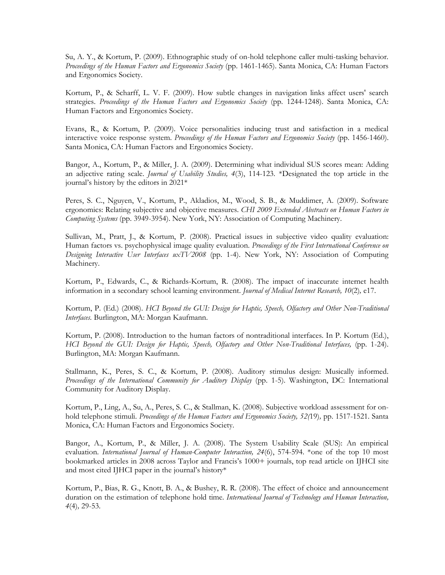Su, A. Y., & Kortum, P. (2009). Ethnographic study of on-hold telephone caller multi-tasking behavior. *Proceedings of the Human Factors and Ergonomics Society* (pp. 1461-1465). Santa Monica, CA: Human Factors and Ergonomics Society.

Kortum, P., & Scharff, L. V. F. (2009). How subtle changes in navigation links affect users' search strategies. *Proceedings of the Human Factors and Ergonomics Society* (pp. 1244-1248). Santa Monica, CA: Human Factors and Ergonomics Society.

Evans, R., & Kortum, P. (2009). Voice personalities inducing trust and satisfaction in a medical interactive voice response system. *Proceedings of the Human Factors and Ergonomics Society* (pp. 1456-1460). Santa Monica, CA: Human Factors and Ergonomics Society.

Bangor, A., Kortum, P., & Miller, J. A. (2009). Determining what individual SUS scores mean: Adding an adjective rating scale. *Journal of Usability Studies, 4*(3), 114-123. \*Designated the top article in the journal's history by the editors in 2021\*

Peres, S. C., Nguyen, V., Kortum, P., Akladios, M., Wood, S. B., & Muddimer, A. (2009). Software ergonomics: Relating subjective and objective measures. *CHI 2009 Extended Abstracts on Human Factors in Computing Systems* (pp. 3949-3954). New York, NY: Association of Computing Machinery.

Sullivan, M., Pratt, J., & Kortum, P. (2008). Practical issues in subjective video quality evaluation: Human factors vs. psychophysical image quality evaluation. *Proceedings of the First International Conference on Designing Interactive User Interfaces uxTV2008* (pp. 1-4). New York, NY: Association of Computing Machinery.

Kortum, P., Edwards, C., & Richards-Kortum, R. (2008). The impact of inaccurate internet health information in a secondary school learning environment. *Journal of Medical Internet Research, 10*(2)*,* e17.

Kortum, P. (Ed.) (2008). *HCI Beyond the GUI: Design for Haptic, Speech, Olfactory and Other Non-Traditional Interfaces.* Burlington, MA: Morgan Kaufmann.

Kortum, P. (2008). Introduction to the human factors of nontraditional interfaces. In P. Kortum (Ed.), *HCI Beyond the GUI: Design for Haptic, Speech, Olfactory and Other Non-Traditional Interfaces,* (pp. 1-24). Burlington, MA: Morgan Kaufmann.

Stallmann, K., Peres, S. C., & Kortum, P. (2008). Auditory stimulus design: Musically informed. *Proceedings of the International Community for Auditory Display* (pp. 1-5). Washington, DC: International Community for Auditory Display.

Kortum, P., Ling, A., Su, A., Peres, S. C., & Stallman, K. (2008). Subjective workload assessment for onhold telephone stimuli. *Proceedings of the Human Factors and Ergonomics Society, 52(*19)*,* pp. 1517-1521. Santa Monica, CA: Human Factors and Ergonomics Society.

Bangor, A., Kortum, P., & Miller, J. A. (2008). The System Usability Scale (SUS): An empirical evaluation. *International Journal of Human-Computer Interaction, 24*(6), 574-594. \*one of the top 10 most bookmarked articles in 2008 across Taylor and Francis's 1000+ journals, top read article on IJHCI site and most cited IJHCI paper in the journal's history\*

Kortum, P., Bias, R. G., Knott, B. A., & Bushey, R. R. (2008). The effect of choice and announcement duration on the estimation of telephone hold time. *International Journal of Technology and Human Interaction, 4*(4)*,* 29-53*.*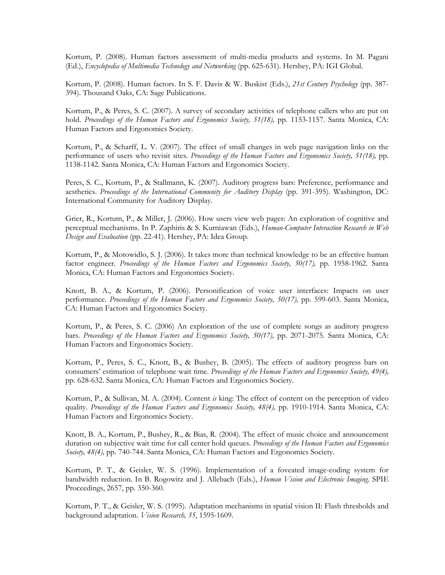Kortum, P. (2008). Human factors assessment of multi-media products and systems. In M. Pagani (Ed.), *Encyclopedia of Multimedia Technology and Networking* (pp. 625-631). Hershey, PA: IGI Global.

Kortum, P. (2008). Human factors. In S. F. Davis & W. Buskist (Eds.), *21st Century Psychology* (pp. 387- 394). Thousand Oaks, CA: Sage Publications.

Kortum, P., & Peres, S. C. (2007). A survey of secondary activities of telephone callers who are put on hold. *Proceedings of the Human Factors and Ergonomics Society, 51(18),* pp. 1153-1157. Santa Monica, CA: Human Factors and Ergonomics Society.

Kortum, P., & Scharff, L. V. (2007). The effect of small changes in web page navigation links on the performance of users who revisit sites. *Proceedings of the Human Factors and Ergonomics Society, 51(18),* pp. 1138-1142. Santa Monica, CA: Human Factors and Ergonomics Society.

Peres, S. C., Kortum, P., & Stallmann, K. (2007). Auditory progress bars: Preference, performance and aesthetics. *Proceedings of the International Community for Auditory Display* (pp. 391-395). Washington, DC: International Community for Auditory Display.

Grier, R., Kortum, P., & Miller, J. (2006). How users view web pages: An exploration of cognitive and perceptual mechanisms. In P. Zaphiris & S. Kurniawan (Eds.), *Human-Computer Interaction Research in Web Design and Evaluation* (pp. 22-41). Hershey, PA: Idea Group.

Kortum, P., & Motowidlo, S. J. (2006). It takes more than technical knowledge to be an effective human factor engineer. *Proceedings of the Human Factors and Ergonomics Society, 50(17),* pp. 1958-1962. Santa Monica, CA: Human Factors and Ergonomics Society.

Knott, B. A., & Kortum, P. (2006). Personification of voice user interfaces: Impacts on user performance. *Proceedings of the Human Factors and Ergonomics Society, 50(17),* pp. 599-603. Santa Monica, CA: Human Factors and Ergonomics Society.

Kortum, P., & Peres, S. C. (2006) An exploration of the use of complete songs as auditory progress bars. *Proceedings of the Human Factors and Ergonomics Society, 50(17),* pp. 2071-2075. Santa Monica, CA: Human Factors and Ergonomics Society.

Kortum, P., Peres, S. C., Knott, B., & Bushey, B. (2005). The effects of auditory progress bars on consumers' estimation of telephone wait time. *Proceedings of the Human Factors and Ergonomics Society, 49(4),*  pp. 628-632. Santa Monica, CA: Human Factors and Ergonomics Society.

Kortum, P., & Sullivan, M. A. (2004). Content *is* king: The effect of content on the perception of video quality. *Proceedings of the Human Factors and Ergonomics Society, 48(4),* pp. 1910-1914. Santa Monica, CA: Human Factors and Ergonomics Society.

Knott, B. A., Kortum, P., Bushey, R., & Bias, R. (2004). The effect of music choice and announcement duration on subjective wait time for call center hold queues. *Proceedings of the Human Factors and Ergonomics Society, 48(4),* pp. 740-744. Santa Monica, CA: Human Factors and Ergonomics Society.

Kortum, P. T., & Geisler, W. S. (1996). Implementation of a foveated image-coding system for bandwidth reduction. In B. Rogowitz and J. Allebach (Eds.), *Human Vision and Electronic Imaging*. SPIE Proceedings, 2657, pp. 350-360.

Kortum, P. T., & Geisler, W. S. (1995). Adaptation mechanisms in spatial vision II: Flash thresholds and background adaptation. *Vision Research, 35*, 1595-1609.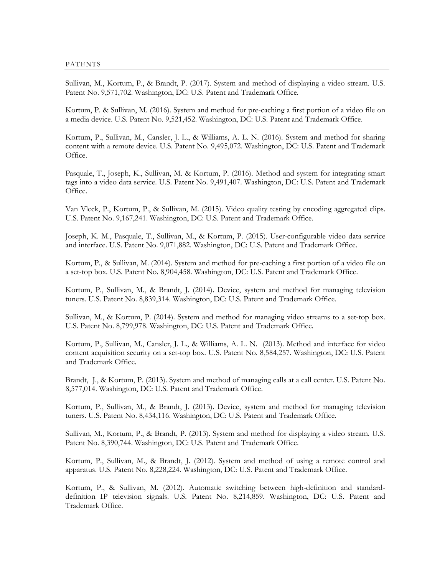Sullivan, M., Kortum, P., & Brandt, P. (2017). System and method of displaying a video stream. U.S. Patent No. 9,571,702. Washington, DC: U.S. Patent and Trademark Office.

Kortum, P. & Sullivan, M. (2016). System and method for pre-caching a first portion of a video file on a media device. U.S. Patent No. 9,521,452. Washington, DC: U.S. Patent and Trademark Office.

Kortum, P., Sullivan, M., Cansler, J. L., & Williams, A. L. N. (2016). System and method for sharing content with a remote device. U.S. Patent No. 9,495,072. Washington, DC: U.S. Patent and Trademark Office.

Pasquale, T., Joseph, K., Sullivan, M. & Kortum, P. (2016). Method and system for integrating smart tags into a video data service. U.S. Patent No. 9,491,407. Washington, DC: U.S. Patent and Trademark Office.

Van Vleck, P., Kortum, P., & Sullivan, M. (2015). Video quality testing by encoding aggregated clips. U.S. Patent No. 9,167,241. Washington, DC: U.S. Patent and Trademark Office.

Joseph, K. M., Pasquale, T., Sullivan, M., & Kortum, P. (2015). User-configurable video data service and interface. U.S. Patent No. 9,071,882. Washington, DC: U.S. Patent and Trademark Office.

Kortum, P., & Sullivan, M. (2014). System and method for pre-caching a first portion of a video file on a set-top box. U.S. Patent No. 8,904,458. Washington, DC: U.S. Patent and Trademark Office.

Kortum, P., Sullivan, M., & Brandt, J. (2014). Device, system and method for managing television tuners. U.S. Patent No. 8,839,314. Washington, DC: U.S. Patent and Trademark Office.

Sullivan, M., & Kortum, P. (2014). System and method for managing video streams to a set-top box. U.S. Patent No. 8,799,978. Washington, DC: U.S. Patent and Trademark Office.

Kortum, P., Sullivan, M., Cansler, J. L., & Williams, A. L. N. (2013). Method and interface for video content acquisition security on a set-top box. U.S. Patent No. 8,584,257. Washington, DC: U.S. Patent and Trademark Office.

Brandt, J., & Kortum, P. (2013). System and method of managing calls at a call center. U.S. Patent No. 8,577,014. Washington, DC: U.S. Patent and Trademark Office.

Kortum, P., Sullivan, M., & Brandt, J. (2013). Device, system and method for managing television tuners. U.S. Patent No. 8,434,116. Washington, DC: U.S. Patent and Trademark Office.

Sullivan, M., Kortum, P., & Brandt, P. (2013). System and method for displaying a video stream. U.S. Patent No. 8,390,744. Washington, DC: U.S. Patent and Trademark Office.

Kortum, P., Sullivan, M., & Brandt, J. (2012). System and method of using a remote control and apparatus. U.S. Patent No. 8,228,224. Washington, DC: U.S. Patent and Trademark Office.

Kortum, P., & Sullivan, M. (2012). Automatic switching between high-definition and standarddefinition IP television signals. U.S. Patent No. 8,214,859. Washington, DC: U.S. Patent and Trademark Office.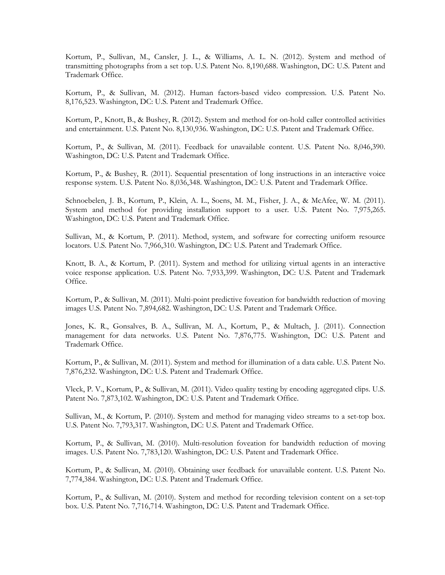Kortum, P., Sullivan, M., Cansler, J. L., & Williams, A. L. N. (2012). System and method of transmitting photographs from a set top. U.S. Patent No. 8,190,688. Washington, DC: U.S. Patent and Trademark Office.

Kortum, P., & Sullivan, M. (2012). Human factors-based video compression. U.S. Patent No. 8,176,523. Washington, DC: U.S. Patent and Trademark Office.

Kortum, P., Knott, B., & Bushey, R. (2012). System and method for on-hold caller controlled activities and entertainment. U.S. Patent No. 8,130,936. Washington, DC: U.S. Patent and Trademark Office.

Kortum, P., & Sullivan, M. (2011). Feedback for unavailable content. U.S. Patent No. 8,046,390. Washington, DC: U.S. Patent and Trademark Office.

Kortum, P., & Bushey, R. (2011). Sequential presentation of long instructions in an interactive voice response system. U.S. Patent No. 8,036,348. Washington, DC: U.S. Patent and Trademark Office.

Schnoebelen, J. B., Kortum, P., Klein, A. L., Soens, M. M., Fisher, J. A., & McAfee, W. M. (2011). System and method for providing installation support to a user. U.S. Patent No. 7,975,265. Washington, DC: U.S. Patent and Trademark Office.

Sullivan, M., & Kortum, P. (2011). Method, system, and software for correcting uniform resource locators. U.S. Patent No. 7,966,310. Washington, DC: U.S. Patent and Trademark Office.

Knott, B. A., & Kortum, P. (2011). System and method for utilizing virtual agents in an interactive voice response application. U.S. Patent No. 7,933,399. Washington, DC: U.S. Patent and Trademark Office.

Kortum, P., & Sullivan, M. (2011). Multi-point predictive foveation for bandwidth reduction of moving images U.S. Patent No. 7,894,682. Washington, DC: U.S. Patent and Trademark Office.

Jones, K. R., Gonsalves, B. A., Sullivan, M. A., Kortum, P., & Multach, J. (2011). Connection management for data networks. U.S. Patent No. 7,876,775. Washington, DC: U.S. Patent and Trademark Office.

Kortum, P., & Sullivan, M. (2011). System and method for illumination of a data cable. U.S. Patent No. 7,876,232. Washington, DC: U.S. Patent and Trademark Office.

Vleck, P. V., Kortum, P., & Sullivan, M. (2011). Video quality testing by encoding aggregated clips. U.S. Patent No. 7,873,102. Washington, DC: U.S. Patent and Trademark Office.

Sullivan, M., & Kortum, P. (2010). System and method for managing video streams to a set-top box. U.S. Patent No. 7,793,317. Washington, DC: U.S. Patent and Trademark Office.

Kortum, P., & Sullivan, M. (2010). Multi-resolution foveation for bandwidth reduction of moving images. U.S. Patent No. 7,783,120. Washington, DC: U.S. Patent and Trademark Office.

Kortum, P., & Sullivan, M. (2010). Obtaining user feedback for unavailable content. U.S. Patent No. 7,774,384. Washington, DC: U.S. Patent and Trademark Office.

Kortum, P., & Sullivan, M. (2010). System and method for recording television content on a set-top box. U.S. Patent No. 7,716,714. Washington, DC: U.S. Patent and Trademark Office.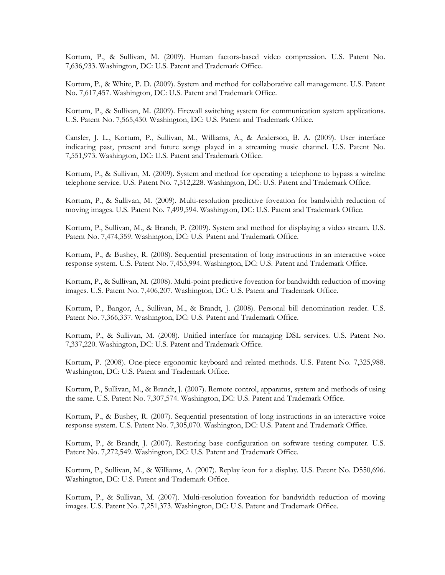Kortum, P., & Sullivan, M. (2009). Human factors-based video compression. U.S. Patent No. 7,636,933. Washington, DC: U.S. Patent and Trademark Office.

Kortum, P., & White, P. D. (2009). System and method for collaborative call management. U.S. Patent No. 7,617,457. Washington, DC: U.S. Patent and Trademark Office.

Kortum, P., & Sullivan, M. (2009). Firewall switching system for communication system applications. U.S. Patent No. 7,565,430. Washington, DC: U.S. Patent and Trademark Office.

Cansler, J. L., Kortum, P., Sullivan, M., Williams, A., & Anderson, B. A. (2009). User interface indicating past, present and future songs played in a streaming music channel. U.S. Patent No. 7,551,973. Washington, DC: U.S. Patent and Trademark Office.

Kortum, P., & Sullivan, M. (2009). System and method for operating a telephone to bypass a wireline telephone service. U.S. Patent No. 7,512,228. Washington, DC: U.S. Patent and Trademark Office.

Kortum, P., & Sullivan, M. (2009). Multi-resolution predictive foveation for bandwidth reduction of moving images. U.S. Patent No. 7,499,594. Washington, DC: U.S. Patent and Trademark Office.

Kortum, P., Sullivan, M., & Brandt, P. (2009). System and method for displaying a video stream. U.S. Patent No. 7,474,359. Washington, DC: U.S. Patent and Trademark Office.

Kortum, P., & Bushey, R. (2008). Sequential presentation of long instructions in an interactive voice response system. U.S. Patent No. 7,453,994. Washington, DC: U.S. Patent and Trademark Office.

Kortum, P., & Sullivan, M. (2008). Multi-point predictive foveation for bandwidth reduction of moving images. U.S. Patent No. 7,406,207. Washington, DC: U.S. Patent and Trademark Office.

Kortum, P., Bangor, A., Sullivan, M., & Brandt, J. (2008). Personal bill denomination reader. U.S. Patent No. 7,366,337. Washington, DC: U.S. Patent and Trademark Office.

Kortum, P., & Sullivan, M. (2008). Unified interface for managing DSL services. U.S. Patent No. 7,337,220. Washington, DC: U.S. Patent and Trademark Office.

Kortum, P. (2008). One-piece ergonomic keyboard and related methods. U.S. Patent No. 7,325,988. Washington, DC: U.S. Patent and Trademark Office.

Kortum, P., Sullivan, M., & Brandt, J. (2007). Remote control, apparatus, system and methods of using the same. U.S. Patent No. 7,307,574. Washington, DC: U.S. Patent and Trademark Office.

Kortum, P., & Bushey, R. (2007). Sequential presentation of long instructions in an interactive voice response system. U.S. Patent No. 7,305,070. Washington, DC: U.S. Patent and Trademark Office.

Kortum, P., & Brandt, J. (2007). Restoring base configuration on software testing computer. U.S. Patent No. 7,272,549. Washington, DC: U.S. Patent and Trademark Office.

Kortum, P., Sullivan, M., & Williams, A. (2007). Replay icon for a display. U.S. Patent No. D550,696. Washington, DC: U.S. Patent and Trademark Office.

Kortum, P., & Sullivan, M. (2007). Multi-resolution foveation for bandwidth reduction of moving images. U.S. Patent No. 7,251,373. Washington, DC: U.S. Patent and Trademark Office.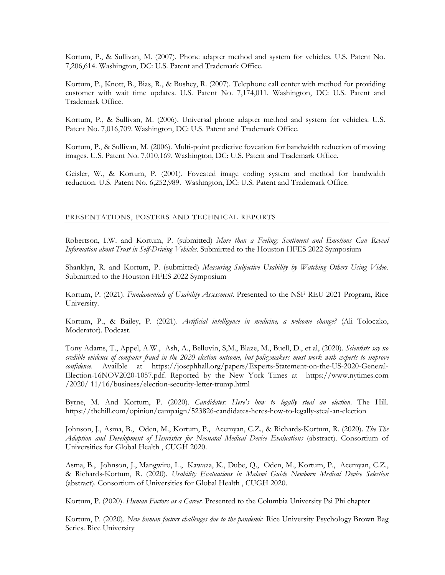Kortum, P., & Sullivan, M. (2007). Phone adapter method and system for vehicles. U.S. Patent No. 7,206,614. Washington, DC: U.S. Patent and Trademark Office.

Kortum, P., Knott, B., Bias, R., & Bushey, R. (2007). Telephone call center with method for providing customer with wait time updates. U.S. Patent No. 7,174,011. Washington, DC: U.S. Patent and Trademark Office.

Kortum, P., & Sullivan, M. (2006). Universal phone adapter method and system for vehicles. U.S. Patent No. 7,016,709. Washington, DC: U.S. Patent and Trademark Office.

Kortum, P., & Sullivan, M. (2006). Multi-point predictive foveation for bandwidth reduction of moving images. U.S. Patent No. 7,010,169. Washington, DC: U.S. Patent and Trademark Office.

Geisler, W., & Kortum, P. (2001). Foveated image coding system and method for bandwidth reduction. U.S. Patent No. 6,252,989. Washington, DC: U.S. Patent and Trademark Office.

### PRESENTATIONS, POSTERS AND TECHNICAL REPORTS

Robertson, I.W. and Kortum, P. (submitted) *More than a Feeling: Sentiment and Emotions Can Reveal Information about Trust in Self-Driving Vehicles*. Submirtted to the Houston HFES 2022 Symposium

Shanklyn, R. and Kortum, P. (submitted) *Measuring Subjective Usability by Watching Others Using Video.* Submirtted to the Houston HFES 2022 Symposium

Kortum, P. (2021). *Fundamentals of Usability Assessment.* Presented to the NSF REU 2021 Program, Rice University.

Kortum, P., & Bailey, P. (2021). *Artificial intelligence in medicine, a welcome change?* (Ali Toloczko, Moderator). Podcast.

Tony Adams, T., Appel, A.W., Ash, A., Bellovin, S,M., Blaze, M., Buell, D., et al, (2020). *Scientists say no credible evidence of computer fraud in the 2020 election outcome, but policymakers must work with experts to improve confidence*. Availble at [https://josephhall.org/papers/Experts-Statement-on-the-US-2020-General-](https://josephhall.org/papers/Experts-Statement-on-the-US-2020-General-Election-16NOV2020-1057.pdf)[Election-16NOV2020-1057.pdf.](https://josephhall.org/papers/Experts-Statement-on-the-US-2020-General-Election-16NOV2020-1057.pdf) Reported by the New York Times at [https://www.nytimes.com](https://www.nytimes.com/) /2020/ 11/16/business/election-security-letter-trump.html

Byrne, M. And Kortum, P. (2020). *Candidates: Here's how to legally steal an election*. The Hill. https://thehill.com/opinion/campaign/523826-candidates-heres-how-to-legally-steal-an-election

Johnson, J., Asma, B., Oden, M., Kortum, P., Acemyan, C.Z., & Richards-Kortum, R. (2020). *The The Adaption and Development of Heuristics for Neonatal Medical Device Evaluations* (abstract). Consortium of Universities for Global Health , CUGH 2020.

Asma, B., Johnson, J., Mangwiro, L., Kawaza, K., Dube, Q., Oden, M., Kortum, P., Acemyan, C.Z., & Richards-Kortum, R. (2020). *Usability Evaluations in Malawi Guide Newborn Medical Device Selection* (abstract). Consortium of Universities for Global Health , CUGH 2020.

Kortum, P. (2020). *Human Factors as a Career.* Presented to the Columbia University Psi Phi chapter

Kortum, P. (2020). *New human factors challenges due to the pandemic.* Rice University Psychology Brown Bag Series. Rice University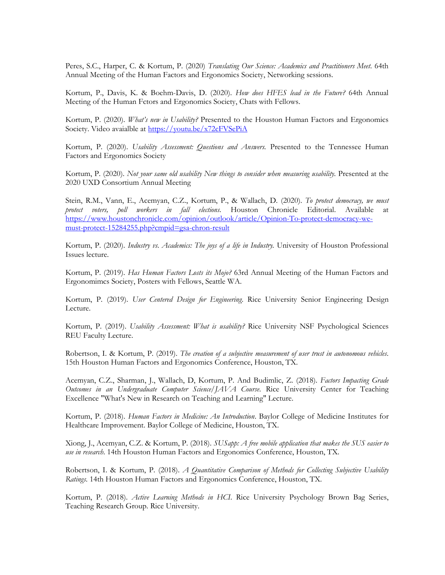Peres, S.C., Harper, C. & Kortum, P. (2020) *Translating Our Science: Academics and Practitioners Meet*. 64th Annual Meeting of the Human Factors and Ergonomics Society, Networking sessions.

Kortum, P., Davis, K. & Boehm-Davis, D. (2020). *How does HFES lead in the Future?* 64th Annual Meeting of the Human Fctors and Ergonomics Society, Chats with Fellows.

Kortum, P. (2020). *What's new in Usability?* Presented to the Houston Human Factors and Ergonomics Society. Video avaialble at<https://youtu.be/x72cFVSePiA>

Kortum, P. (2020). *Usability Assessment: Questions and Answers.* Presented to the Tennessee Human Factors and Ergonomics Society

Kortum, P. (2020). *Not your same old usability New things to consider when measuring usability.* Presented at the 2020 UXD Consortium Annual Meeting

Stein, R.M., Vann, E., Acemyan, C.Z., Kortum, P., & Wallach, D. (2020). *To protect democracy, we must protect voters, poll workers in fall elections.* Houston Chronicle Editorial. Available at [https://www.houstonchronicle.com/opinion/outlook/article/Opinion-To-protect-democracy-we](https://www.houstonchronicle.com/opinion/outlook/article/Opinion-To-protect-democracy-we-must-protect-15284255.php?cmpid=gsa-chron-result)[must-protect-15284255.php?cmpid=gsa-chron-result](https://www.houstonchronicle.com/opinion/outlook/article/Opinion-To-protect-democracy-we-must-protect-15284255.php?cmpid=gsa-chron-result)

Kortum, P. (2020). *Industry vs. Academics: The joys of a life in Industry.* University of Houston Professional Issues lecture.

Kortum, P. (2019). *Has Human Factors Losts its Mojo?* 63rd Annual Meeting of the Human Factors and Ergonomimcs Society, Posters with Fellows, Seattle WA.

Kortum, P. (2019). *User Centered Design for Engineering*. Rice University Senior Engineering Design Lecture.

Kortum, P. (2019). *Usability Assessment: What is usability?* Rice University NSF Psychological Sciences REU Faculty Lecture.

Robertson, I. & Kortum, P. (2019). *The creation of a subjective measurement of user trust in autonomous vehicles*. 15th Houston Human Factors and Ergonomics Conference, Houston, TX.

Acemyan, C.Z., Sharman, J., Wallach, D, Kortum, P. And Budimlic, Z. (2018). *Factors Impacting Grade Outcomes in an Undergraduate Computer Science/JAVA Course*. Rice University Center for Teaching Excellence "What's New in Research on Teaching and Learning" Lecture.

Kortum, P. (2018). *Human Factors in Medicine: An Introduction*. Baylor College of Medicine Institutes for Healthcare Improvement. Baylor College of Medicine, Houston, TX.

Xiong, J., Acemyan, C.Z. & Kortum, P. (2018). *SUSapp: A free mobile application that makes the SUS easier to use in research.* 14th Houston Human Factors and Ergonomics Conference, Houston, TX.

Robertson, I. & Kortum, P. (2018). *A Quantitative Comparison of Methods for Collecting Subjective Usability Ratings*. 14th Houston Human Factors and Ergonomics Conference, Houston, TX.

Kortum, P. (2018). *Active Learning Methods in HCI*. Rice University Psychology Brown Bag Series, Teaching Research Group. Rice University.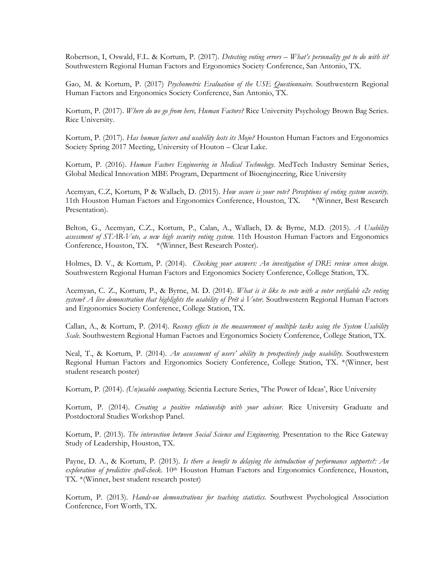Robertson, I, Oswald, F.L. & Kortum, P. (2017). *Detecting voting errors – What's personality got to do with it?* Southwestern Regional Human Factors and Ergonomics Society Conference, San Antonio, TX.

Gao, M. & Kortum, P. (2017) *Psychometric Evaluation of the USE Questionnaire.* Southwestern Regional Human Factors and Ergonomics Society Conference, San Antonio, TX.

Kortum, P. (2017). *Where do we go from here, Human Factors?* Rice University Psychology Brown Bag Series. Rice University.

Kortum, P. (2017). *Has human factors and usability losts its Mojo?* Houston Human Factors and Ergonomics Society Spring 2017 Meeting, University of Houton – Clear Lake.

Kortum, P. (2016). *Human Factors Engineering in Medical Technology.* MedTech Industry Seminar Series, Global Medical Innovation MBE Program, Department of Bioengineering, Rice University

Acemyan, C.Z, Kortum, P & Wallach, D. (2015). *How secure is your vote? Perceptions of voting system security*. 11th Houston Human Factors and Ergonomics Conference, Houston, TX. \*(Winner, Best Research Presentation).

Belton, G., Acemyan, C.Z., Kortum, P., Calan, A., Wallach, D. & Byrne, M.D. (2015). *A Usability assessment of STAR-Vote, a new high security voting system.* 11th Houston Human Factors and Ergonomics Conference, Houston, TX. \*(Winner, Best Research Poster).

Holmes, D. V., & Kortum, P. (2014). *Checking your answers: An investigation of DRE review screen design.* Southwestern Regional Human Factors and Ergonomics Society Conference, College Station, TX.

Acemyan, C. Z., Kortum, P., & Byrne, M. D. (2014). *What is it like to vote with a voter verifiable e2e voting system? A live demonstration that highlights the usability of Prêt à Voter*. Southwestern Regional Human Factors and Ergonomics Society Conference, College Station, TX.

Callan, A., & Kortum, P. (2014). *Recency effects in the measurement of multiple tasks using the System Usability Scale.* Southwestern Regional Human Factors and Ergonomics Society Conference, College Station, TX.

Neal, T., & Kortum, P. (2014). *An assessment of users' ability to prospectively judge usability.* Southwestern Regional Human Factors and Ergonomics Society Conference, College Station, TX. \*(Winner, best student research poster)

Kortum, P. (2014). *(Un)usable computing*. Scientia Lecture Series, 'The Power of Ideas', Rice University

Kortum, P. (2014). *Creating a positive relationship with your advisor.* Rice University Graduate and Postdoctoral Studies Workshop Panel.

Kortum, P. (2013). *The intersection between Social Science and Engineering.* Presentation to the Rice Gateway Study of Leadership, Houston, TX.

Payne, D. A., & Kortum, P. (2013). *Is there a benefit to delaying the introduction of performance supports?: An exploration of predictive spell-check*. 10th Houston Human Factors and Ergonomics Conference, Houston, TX. \*(Winner, best student research poster)

Kortum, P. (2013). *Hands-on demonstrations for teaching statistics*. Southwest Psychological Association Conference, Fort Worth, TX.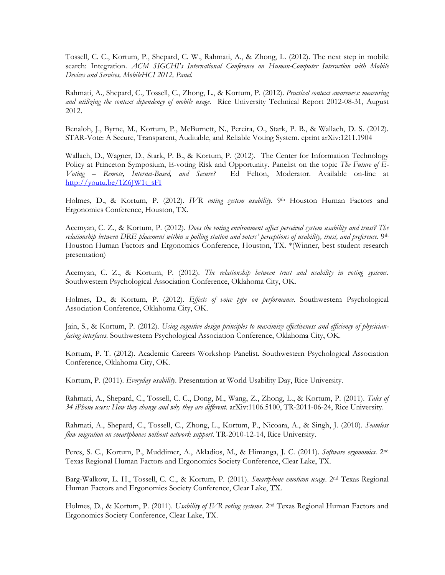Tossell, C. C., Kortum, P., Shepard, C. W., Rahmati, A., & Zhong, L. (2012). The next step in mobile search: Integration. *ACM SIGCHI's International Conference on Human-Computer Interaction with Mobile Devices and Services, MobileHCI 2012, Panel.*

Rahmati, A., Shepard, C., Tossell, C., Zhong, L., & Kortum, P. (2012). *Practical context awareness: measuring and utilizing the context dependency of mobile usage.* Rice University Technical Report 2012-08-31, August 2012.

Benaloh, J., Byrne, M., Kortum, P., McBurnett, N., Pereira, O., Stark, P. B., & Wallach, D. S. (2012). STAR-Vote: A Secure, Transparent, Auditable, and Reliable Voting System. eprint arXiv:1211.1904

Wallach, D., Wagner, D., Stark, P. B., & Kortum, P. (2012). The Center for Information Technology Policy at Princeton Symposium, E-voting Risk and Opportunity. Panelist on the topic *The Future of E-Voting – Remote, Internet-Based, and Secure?* Ed Felton, Moderator. Available on-line at [http://youtu.be/1Z6JW1t\\_sFI](http://youtu.be/1Z6JW1t_sFI)

Holmes, D., & Kortum, P. (2012). IVR voting system usability. 9th Houston Human Factors and Ergonomics Conference, Houston, TX.

Acemyan, C. Z., & Kortum, P. (2012). *Does the voting environment affect perceived system usability and trust? The relationship between DRE placement within a polling station and voters' perceptions of usability, trust, and preference.* 9 th Houston Human Factors and Ergonomics Conference, Houston, TX. \*(Winner, best student research presentation)

Acemyan, C. Z., & Kortum, P. (2012). *The relationship between trust and usability in voting systems*. Southwestern Psychological Association Conference, Oklahoma City, OK.

Holmes, D., & Kortum, P. (2012). *Effects of voice type on performance*. Southwestern Psychological Association Conference, Oklahoma City, OK.

Jain, S., & Kortum, P. (2012). *Using cognitive design principles to maximize effectiveness and efficiency of physicianfacing interfaces*. Southwestern Psychological Association Conference, Oklahoma City, OK.

Kortum, P. T. (2012). Academic Careers Workshop Panelist. Southwestern Psychological Association Conference, Oklahoma City, OK.

Kortum, P. (2011). *Everyday usability*. Presentation at World Usability Day, Rice University.

Rahmati, A., Shepard, C., Tossell, C. C., Dong, M., Wang, Z., Zhong, L., & Kortum, P. (2011). *Tales of 34 iPhone users: How they change and why they are different*. arXiv:1106.5100, TR-2011-06-24, Rice University.

Rahmati, A., Shepard, C., Tossell, C., Zhong, L., Kortum, P., Nicoara, A., & Singh, J. (2010). *Seamless flow migration on smartphones without network support*. TR-2010-12-14, Rice University.

Peres, S. C., Kortum, P., Muddimer, A., Akladios, M., & Himanga, J. C. (2011). *Software ergonomics*. 2<sup>nd</sup> Texas Regional Human Factors and Ergonomics Society Conference, Clear Lake, TX.

Barg-Walkow, L. H., Tossell, C. C., & Kortum, P. (2011). *Smartphone emoticon usage*. 2nd Texas Regional Human Factors and Ergonomics Society Conference, Clear Lake, TX.

Holmes, D., & Kortum, P. (2011). *Usability of IVR voting systems*. 2nd Texas Regional Human Factors and Ergonomics Society Conference, Clear Lake, TX.